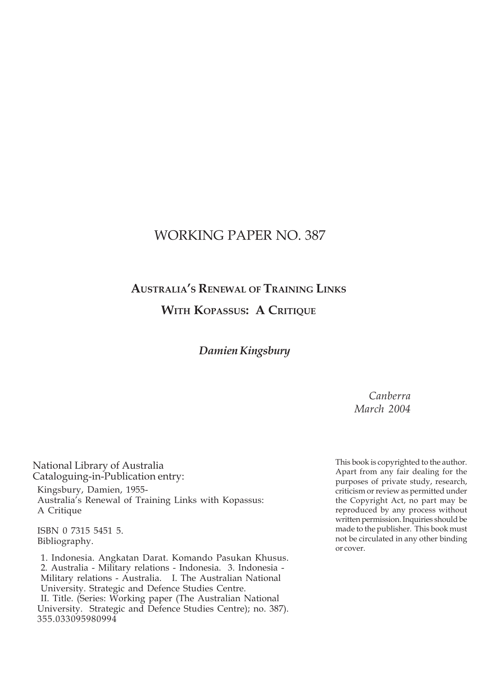# WORKING PAPER NO. 387

# **AUSTRALIA'S RENEWAL OF TRAINING LINKS WITH KOPASSUS: A CRITIQUE**

# *Damien Kingsbury*

*Canberra March 2004*

National Library of Australia Cataloguing-in-Publication entry: Kingsbury, Damien, 1955- Australia's Renewal of Training Links with Kopassus: A Critique

ISBN 0 7315 5451 5. Bibliography.

 1. Indonesia. Angkatan Darat. Komando Pasukan Khusus. 2. Australia - Military relations - Indonesia. 3. Indonesia - Military relations - Australia. I. The Australian National University. Strategic and Defence Studies Centre.

 II. Title. (Series: Working paper (The Australian National University. Strategic and Defence Studies Centre); no. 387). 355.033095980994

This book is copyrighted to the author. Apart from any fair dealing for the purposes of private study, research, criticism or review as permitted under the Copyright Act, no part may be reproduced by any process without written permission. Inquiries should be made to the publisher. This book must not be circulated in any other binding or cover.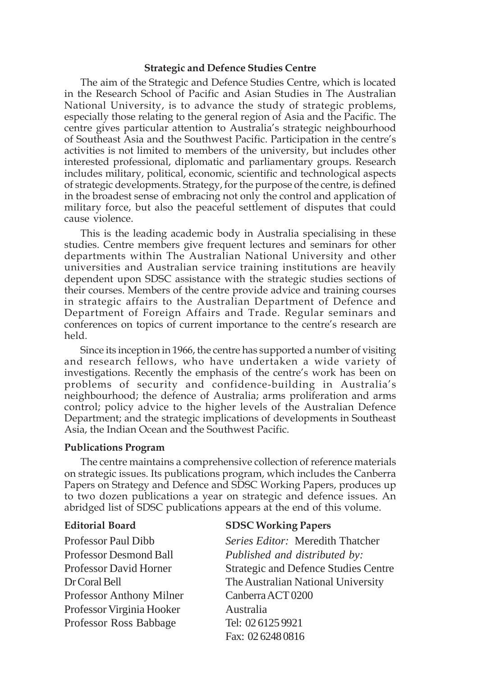#### **Strategic and Defence Studies Centre**

The aim of the Strategic and Defence Studies Centre, which is located in the Research School of Pacific and Asian Studies in The Australian National University, is to advance the study of strategic problems, especially those relating to the general region of Asia and the Pacific. The centre gives particular attention to Australia's strategic neighbourhood of Southeast Asia and the Southwest Pacific. Participation in the centre's activities is not limited to members of the university, but includes other interested professional, diplomatic and parliamentary groups. Research includes military, political, economic, scientific and technological aspects of strategic developments. Strategy, for the purpose of the centre, is defined in the broadest sense of embracing not only the control and application of military force, but also the peaceful settlement of disputes that could cause violence.

This is the leading academic body in Australia specialising in these studies. Centre members give frequent lectures and seminars for other departments within The Australian National University and other universities and Australian service training institutions are heavily dependent upon SDSC assistance with the strategic studies sections of their courses. Members of the centre provide advice and training courses in strategic affairs to the Australian Department of Defence and Department of Foreign Affairs and Trade. Regular seminars and conferences on topics of current importance to the centre's research are held.

Since its inception in 1966, the centre has supported a number of visiting and research fellows, who have undertaken a wide variety of investigations. Recently the emphasis of the centre's work has been on problems of security and confidence-building in Australia's neighbourhood; the defence of Australia; arms proliferation and arms control; policy advice to the higher levels of the Australian Defence Department; and the strategic implications of developments in Southeast Asia, the Indian Ocean and the Southwest Pacific.

#### **Publications Program**

The centre maintains a comprehensive collection of reference materials on strategic issues. Its publications program, which includes the Canberra Papers on Strategy and Defence and SDSC Working Papers, produces up to two dozen publications a year on strategic and defence issues. An abridged list of SDSC publications appears at the end of this volume.

Professor Anthony Milner Canberra ACT 0200 Professor Virginia Hooker Australia Professor Ross Babbage Tel: 02 6125 9921

#### **Editorial Board SDSC Working Papers**

Professor Paul Dibb *Series Editor:* Meredith Thatcher Professor Desmond Ball *Published and distributed by:* Professor David Horner Strategic and Defence Studies Centre Dr Coral Bell The Australian National University Fax: 02 6248 0816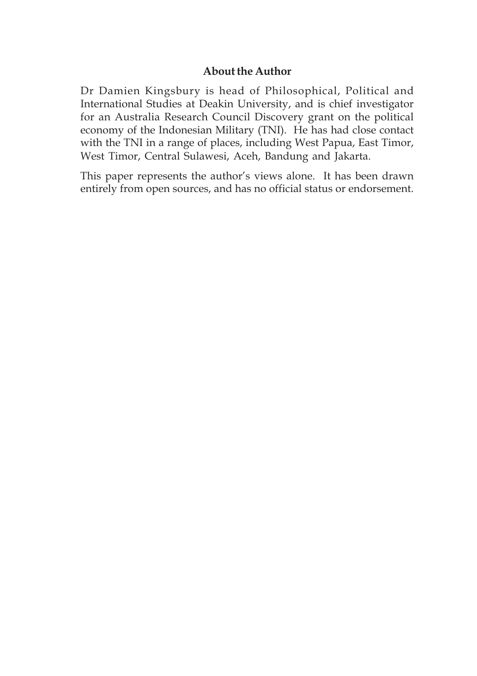## **About the Author**

Dr Damien Kingsbury is head of Philosophical, Political and International Studies at Deakin University, and is chief investigator for an Australia Research Council Discovery grant on the political economy of the Indonesian Military (TNI). He has had close contact with the TNI in a range of places, including West Papua, East Timor, West Timor, Central Sulawesi, Aceh, Bandung and Jakarta.

This paper represents the author's views alone. It has been drawn entirely from open sources, and has no official status or endorsement.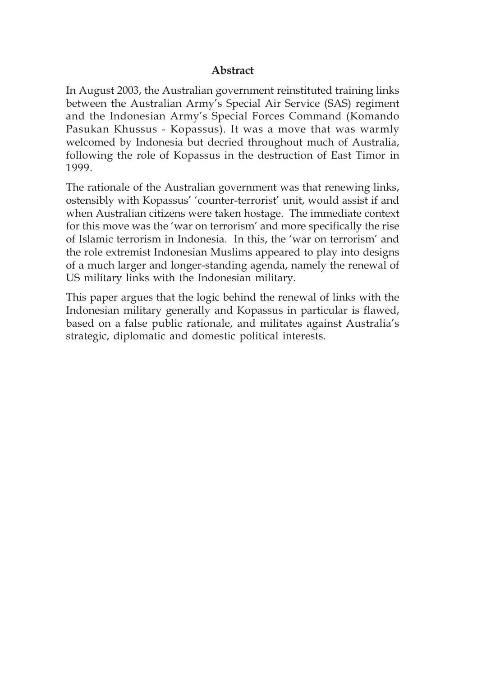## **Abstract**

In August 2003, the Australian government reinstituted training links between the Australian Army's Special Air Service (SAS) regiment and the Indonesian Army's Special Forces Command (Komando Pasukan Khussus - Kopassus). It was a move that was warmly welcomed by Indonesia but decried throughout much of Australia, following the role of Kopassus in the destruction of East Timor in 1999.

The rationale of the Australian government was that renewing links, ostensibly with Kopassus' 'counter-terrorist' unit, would assist if and when Australian citizens were taken hostage. The immediate context for this move was the 'war on terrorism' and more specifically the rise of Islamic terrorism in Indonesia. In this, the 'war on terrorism' and the role extremist Indonesian Muslims appeared to play into designs of a much larger and longer-standing agenda, namely the renewal of US military links with the Indonesian military.

This paper argues that the logic behind the renewal of links with the Indonesian military generally and Kopassus in particular is flawed, based on a false public rationale, and militates against Australia's strategic, diplomatic and domestic political interests.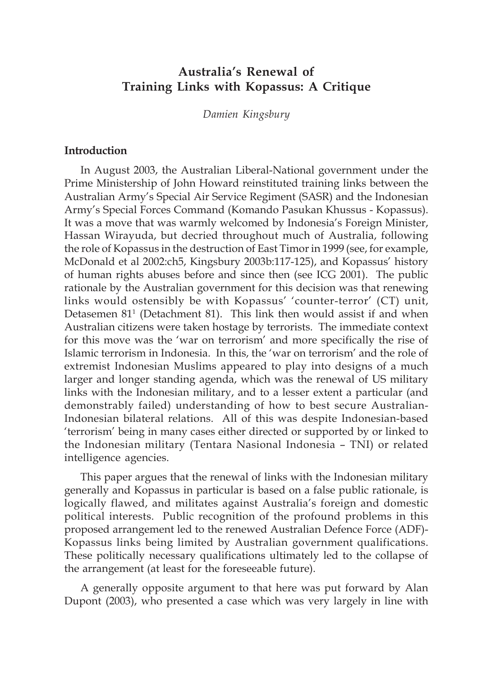# **Australia's Renewal of Training Links with Kopassus: A Critique**

*Damien Kingsbury*

#### **Introduction**

In August 2003, the Australian Liberal-National government under the Prime Ministership of John Howard reinstituted training links between the Australian Army's Special Air Service Regiment (SASR) and the Indonesian Army's Special Forces Command (Komando Pasukan Khussus - Kopassus). It was a move that was warmly welcomed by Indonesia's Foreign Minister, Hassan Wirayuda, but decried throughout much of Australia, following the role of Kopassus in the destruction of East Timor in 1999 (see, for example, McDonald et al 2002:ch5, Kingsbury 2003b:117-125), and Kopassus' history of human rights abuses before and since then (see ICG 2001). The public rationale by the Australian government for this decision was that renewing links would ostensibly be with Kopassus' 'counter-terror' (CT) unit, Detasemen 81<sup>1</sup> (Detachment 81). This link then would assist if and when Australian citizens were taken hostage by terrorists. The immediate context for this move was the 'war on terrorism' and more specifically the rise of Islamic terrorism in Indonesia. In this, the 'war on terrorism' and the role of extremist Indonesian Muslims appeared to play into designs of a much larger and longer standing agenda, which was the renewal of US military links with the Indonesian military, and to a lesser extent a particular (and demonstrably failed) understanding of how to best secure Australian-Indonesian bilateral relations. All of this was despite Indonesian-based 'terrorism' being in many cases either directed or supported by or linked to the Indonesian military (Tentara Nasional Indonesia – TNI) or related intelligence agencies.

This paper argues that the renewal of links with the Indonesian military generally and Kopassus in particular is based on a false public rationale, is logically flawed, and militates against Australia's foreign and domestic political interests. Public recognition of the profound problems in this proposed arrangement led to the renewed Australian Defence Force (ADF)- Kopassus links being limited by Australian government qualifications. These politically necessary qualifications ultimately led to the collapse of the arrangement (at least for the foreseeable future).

A generally opposite argument to that here was put forward by Alan Dupont (2003), who presented a case which was very largely in line with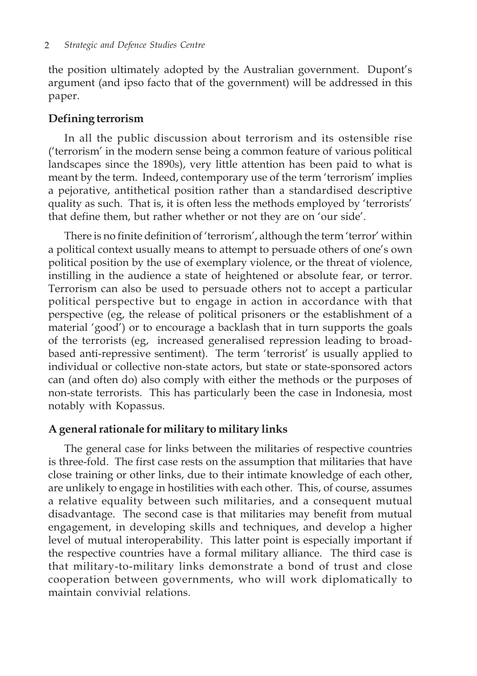the position ultimately adopted by the Australian government. Dupont's argument (and ipso facto that of the government) will be addressed in this paper.

## **Defining terrorism**

In all the public discussion about terrorism and its ostensible rise ('terrorism' in the modern sense being a common feature of various political landscapes since the 1890s), very little attention has been paid to what is meant by the term. Indeed, contemporary use of the term 'terrorism' implies a pejorative, antithetical position rather than a standardised descriptive quality as such. That is, it is often less the methods employed by 'terrorists' that define them, but rather whether or not they are on 'our side'.

There is no finite definition of 'terrorism', although the term 'terror' within a political context usually means to attempt to persuade others of one's own political position by the use of exemplary violence, or the threat of violence, instilling in the audience a state of heightened or absolute fear, or terror. Terrorism can also be used to persuade others not to accept a particular political perspective but to engage in action in accordance with that perspective (eg, the release of political prisoners or the establishment of a material 'good') or to encourage a backlash that in turn supports the goals of the terrorists (eg, increased generalised repression leading to broadbased anti-repressive sentiment). The term 'terrorist' is usually applied to individual or collective non-state actors, but state or state-sponsored actors can (and often do) also comply with either the methods or the purposes of non-state terrorists. This has particularly been the case in Indonesia, most notably with Kopassus.

# **A general rationale for military to military links**

The general case for links between the militaries of respective countries is three-fold. The first case rests on the assumption that militaries that have close training or other links, due to their intimate knowledge of each other, are unlikely to engage in hostilities with each other. This, of course, assumes a relative equality between such militaries, and a consequent mutual disadvantage. The second case is that militaries may benefit from mutual engagement, in developing skills and techniques, and develop a higher level of mutual interoperability. This latter point is especially important if the respective countries have a formal military alliance. The third case is that military-to-military links demonstrate a bond of trust and close cooperation between governments, who will work diplomatically to maintain convivial relations.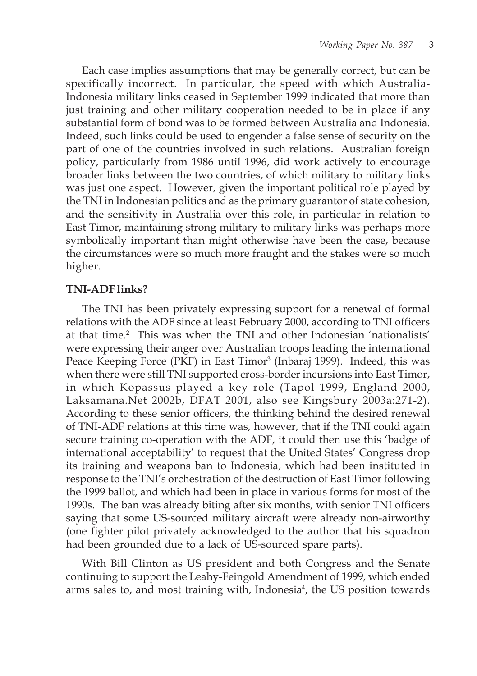Each case implies assumptions that may be generally correct, but can be specifically incorrect. In particular, the speed with which Australia-Indonesia military links ceased in September 1999 indicated that more than just training and other military cooperation needed to be in place if any substantial form of bond was to be formed between Australia and Indonesia. Indeed, such links could be used to engender a false sense of security on the part of one of the countries involved in such relations. Australian foreign policy, particularly from 1986 until 1996, did work actively to encourage broader links between the two countries, of which military to military links was just one aspect. However, given the important political role played by the TNI in Indonesian politics and as the primary guarantor of state cohesion, and the sensitivity in Australia over this role, in particular in relation to East Timor, maintaining strong military to military links was perhaps more symbolically important than might otherwise have been the case, because the circumstances were so much more fraught and the stakes were so much higher.

### **TNI-ADF links?**

The TNI has been privately expressing support for a renewal of formal relations with the ADF since at least February 2000, according to TNI officers at that time.<sup>2</sup> This was when the TNI and other Indonesian 'nationalists' were expressing their anger over Australian troops leading the international Peace Keeping Force (PKF) in East Timor<sup>3</sup> (Inbaraj 1999). Indeed, this was when there were still TNI supported cross-border incursions into East Timor, in which Kopassus played a key role (Tapol 1999, England 2000, Laksamana.Net 2002b, DFAT 2001, also see Kingsbury 2003a:271-2). According to these senior officers, the thinking behind the desired renewal of TNI-ADF relations at this time was, however, that if the TNI could again secure training co-operation with the ADF, it could then use this 'badge of international acceptability' to request that the United States' Congress drop its training and weapons ban to Indonesia, which had been instituted in response to the TNI's orchestration of the destruction of East Timor following the 1999 ballot, and which had been in place in various forms for most of the 1990s. The ban was already biting after six months, with senior TNI officers saying that some US-sourced military aircraft were already non-airworthy (one fighter pilot privately acknowledged to the author that his squadron had been grounded due to a lack of US-sourced spare parts).

With Bill Clinton as US president and both Congress and the Senate continuing to support the Leahy-Feingold Amendment of 1999, which ended arms sales to, and most training with, Indonesia<sup>4</sup>, the US position towards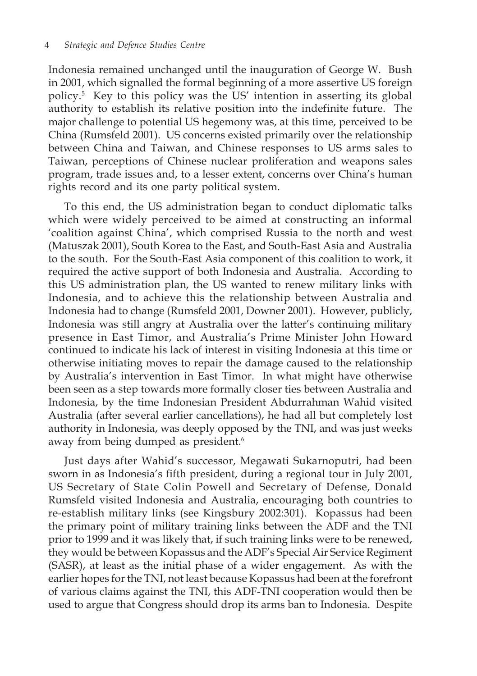Indonesia remained unchanged until the inauguration of George W. Bush in 2001, which signalled the formal beginning of a more assertive US foreign policy.5 Key to this policy was the US' intention in asserting its global authority to establish its relative position into the indefinite future. The major challenge to potential US hegemony was, at this time, perceived to be China (Rumsfeld 2001). US concerns existed primarily over the relationship between China and Taiwan, and Chinese responses to US arms sales to Taiwan, perceptions of Chinese nuclear proliferation and weapons sales program, trade issues and, to a lesser extent, concerns over China's human rights record and its one party political system.

To this end, the US administration began to conduct diplomatic talks which were widely perceived to be aimed at constructing an informal 'coalition against China', which comprised Russia to the north and west (Matuszak 2001), South Korea to the East, and South-East Asia and Australia to the south. For the South-East Asia component of this coalition to work, it required the active support of both Indonesia and Australia. According to this US administration plan, the US wanted to renew military links with Indonesia, and to achieve this the relationship between Australia and Indonesia had to change (Rumsfeld 2001, Downer 2001). However, publicly, Indonesia was still angry at Australia over the latter's continuing military presence in East Timor, and Australia's Prime Minister John Howard continued to indicate his lack of interest in visiting Indonesia at this time or otherwise initiating moves to repair the damage caused to the relationship by Australia's intervention in East Timor. In what might have otherwise been seen as a step towards more formally closer ties between Australia and Indonesia, by the time Indonesian President Abdurrahman Wahid visited Australia (after several earlier cancellations), he had all but completely lost authority in Indonesia, was deeply opposed by the TNI, and was just weeks away from being dumped as president.<sup>6</sup>

Just days after Wahid's successor, Megawati Sukarnoputri, had been sworn in as Indonesia's fifth president, during a regional tour in July 2001, US Secretary of State Colin Powell and Secretary of Defense, Donald Rumsfeld visited Indonesia and Australia, encouraging both countries to re-establish military links (see Kingsbury 2002:301). Kopassus had been the primary point of military training links between the ADF and the TNI prior to 1999 and it was likely that, if such training links were to be renewed, they would be between Kopassus and the ADF's Special Air Service Regiment (SASR), at least as the initial phase of a wider engagement. As with the earlier hopes for the TNI, not least because Kopassus had been at the forefront of various claims against the TNI, this ADF-TNI cooperation would then be used to argue that Congress should drop its arms ban to Indonesia. Despite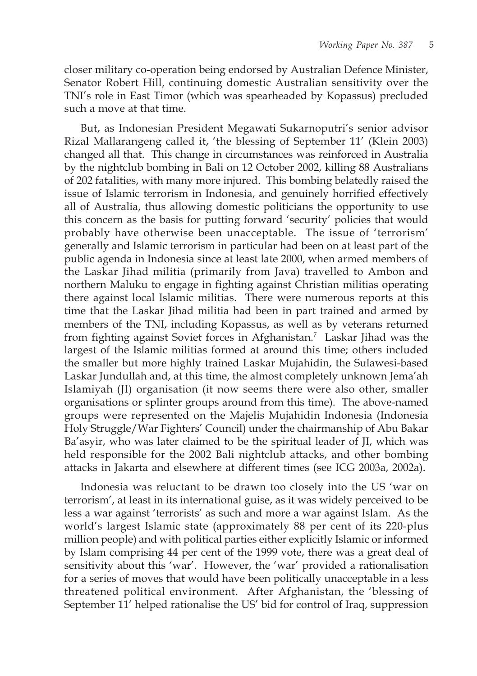closer military co-operation being endorsed by Australian Defence Minister, Senator Robert Hill, continuing domestic Australian sensitivity over the TNI's role in East Timor (which was spearheaded by Kopassus) precluded such a move at that time.

But, as Indonesian President Megawati Sukarnoputri's senior advisor Rizal Mallarangeng called it, 'the blessing of September 11' (Klein 2003) changed all that. This change in circumstances was reinforced in Australia by the nightclub bombing in Bali on 12 October 2002, killing 88 Australians of 202 fatalities, with many more injured. This bombing belatedly raised the issue of Islamic terrorism in Indonesia, and genuinely horrified effectively all of Australia, thus allowing domestic politicians the opportunity to use this concern as the basis for putting forward 'security' policies that would probably have otherwise been unacceptable. The issue of 'terrorism' generally and Islamic terrorism in particular had been on at least part of the public agenda in Indonesia since at least late 2000, when armed members of the Laskar Jihad militia (primarily from Java) travelled to Ambon and northern Maluku to engage in fighting against Christian militias operating there against local Islamic militias. There were numerous reports at this time that the Laskar Jihad militia had been in part trained and armed by members of the TNI, including Kopassus, as well as by veterans returned from fighting against Soviet forces in Afghanistan.7 Laskar Jihad was the largest of the Islamic militias formed at around this time; others included the smaller but more highly trained Laskar Mujahidin, the Sulawesi-based Laskar Jundullah and, at this time, the almost completely unknown Jema'ah Islamiyah (JI) organisation (it now seems there were also other, smaller organisations or splinter groups around from this time). The above-named groups were represented on the Majelis Mujahidin Indonesia (Indonesia Holy Struggle/War Fighters' Council) under the chairmanship of Abu Bakar Ba'asyir, who was later claimed to be the spiritual leader of JI, which was held responsible for the 2002 Bali nightclub attacks, and other bombing attacks in Jakarta and elsewhere at different times (see ICG 2003a, 2002a).

Indonesia was reluctant to be drawn too closely into the US 'war on terrorism', at least in its international guise, as it was widely perceived to be less a war against 'terrorists' as such and more a war against Islam. As the world's largest Islamic state (approximately 88 per cent of its 220-plus million people) and with political parties either explicitly Islamic or informed by Islam comprising 44 per cent of the 1999 vote, there was a great deal of sensitivity about this 'war'. However, the 'war' provided a rationalisation for a series of moves that would have been politically unacceptable in a less threatened political environment. After Afghanistan, the 'blessing of September 11' helped rationalise the US' bid for control of Iraq, suppression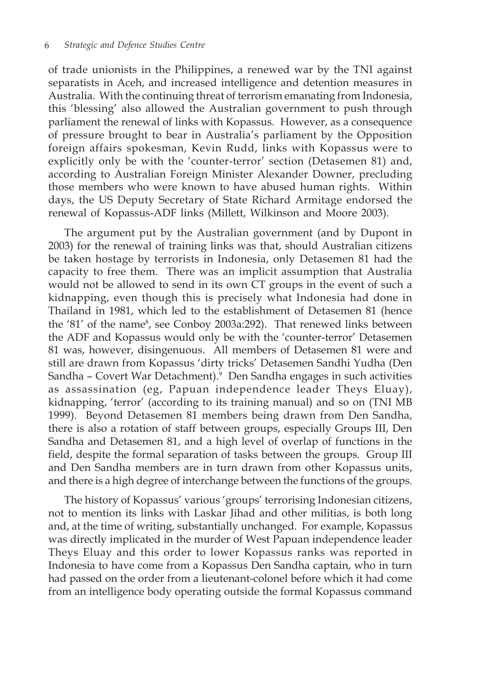of trade unionists in the Philippines, a renewed war by the TNI against separatists in Aceh, and increased intelligence and detention measures in Australia. With the continuing threat of terrorism emanating from Indonesia, this 'blessing' also allowed the Australian government to push through parliament the renewal of links with Kopassus. However, as a consequence of pressure brought to bear in Australia's parliament by the Opposition foreign affairs spokesman, Kevin Rudd, links with Kopassus were to explicitly only be with the 'counter-terror' section (Detasemen 81) and, according to Australian Foreign Minister Alexander Downer, precluding those members who were known to have abused human rights. Within days, the US Deputy Secretary of State Richard Armitage endorsed the renewal of Kopassus-ADF links (Millett, Wilkinson and Moore 2003).

The argument put by the Australian government (and by Dupont in 2003) for the renewal of training links was that, should Australian citizens be taken hostage by terrorists in Indonesia, only Detasemen 81 had the capacity to free them. There was an implicit assumption that Australia would not be allowed to send in its own CT groups in the event of such a kidnapping, even though this is precisely what Indonesia had done in Thailand in 1981, which led to the establishment of Detasemen 81 (hence the '81' of the name<sup>8</sup>, see Conboy 2003a:292). That renewed links between the ADF and Kopassus would only be with the 'counter-terror' Detasemen 81 was, however, disingenuous. All members of Detasemen 81 were and still are drawn from Kopassus 'dirty tricks' Detasemen Sandhi Yudha (Den Sandha – Covert War Detachment).9 Den Sandha engages in such activities as assassination (eg, Papuan independence leader Theys Eluay), kidnapping, 'terror' (according to its training manual) and so on (TNI MB 1999). Beyond Detasemen 81 members being drawn from Den Sandha, there is also a rotation of staff between groups, especially Groups III, Den Sandha and Detasemen 81, and a high level of overlap of functions in the field, despite the formal separation of tasks between the groups. Group III and Den Sandha members are in turn drawn from other Kopassus units, and there is a high degree of interchange between the functions of the groups.

The history of Kopassus' various 'groups' terrorising Indonesian citizens, not to mention its links with Laskar Jihad and other militias, is both long and, at the time of writing, substantially unchanged. For example, Kopassus was directly implicated in the murder of West Papuan independence leader Theys Eluay and this order to lower Kopassus ranks was reported in Indonesia to have come from a Kopassus Den Sandha captain, who in turn had passed on the order from a lieutenant-colonel before which it had come from an intelligence body operating outside the formal Kopassus command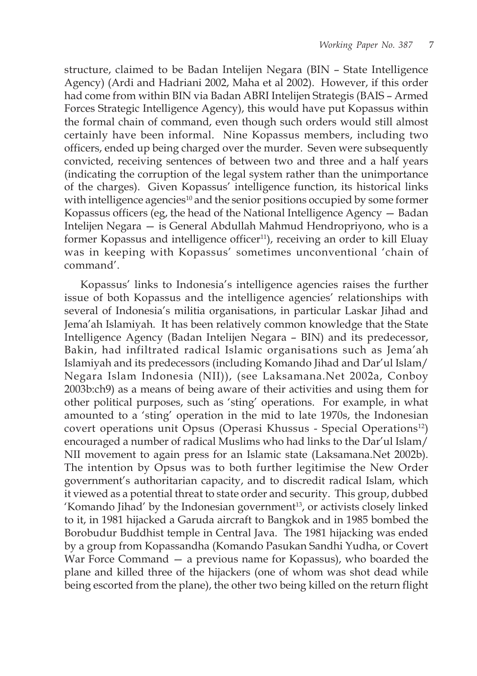structure, claimed to be Badan Intelijen Negara (BIN – State Intelligence Agency) (Ardi and Hadriani 2002, Maha et al 2002). However, if this order had come from within BIN via Badan ABRI Intelijen Strategis (BAIS – Armed Forces Strategic Intelligence Agency), this would have put Kopassus within the formal chain of command, even though such orders would still almost certainly have been informal. Nine Kopassus members, including two officers, ended up being charged over the murder. Seven were subsequently convicted, receiving sentences of between two and three and a half years (indicating the corruption of the legal system rather than the unimportance of the charges). Given Kopassus' intelligence function, its historical links with intelligence agencies<sup>10</sup> and the senior positions occupied by some former Kopassus officers (eg, the head of the National Intelligence Agency — Badan Intelijen Negara — is General Abdullah Mahmud Hendropriyono, who is a former Kopassus and intelligence officer<sup>11</sup>), receiving an order to kill Eluay was in keeping with Kopassus' sometimes unconventional 'chain of command'.

Kopassus' links to Indonesia's intelligence agencies raises the further issue of both Kopassus and the intelligence agencies' relationships with several of Indonesia's militia organisations, in particular Laskar Jihad and Jema'ah Islamiyah. It has been relatively common knowledge that the State Intelligence Agency (Badan Intelijen Negara – BIN) and its predecessor, Bakin, had infiltrated radical Islamic organisations such as Jema'ah Islamiyah and its predecessors (including Komando Jihad and Dar'ul Islam/ Negara Islam Indonesia (NII)), (see Laksamana.Net 2002a, Conboy 2003b:ch9) as a means of being aware of their activities and using them for other political purposes, such as 'sting' operations. For example, in what amounted to a 'sting' operation in the mid to late 1970s, the Indonesian covert operations unit Opsus (Operasi Khussus - Special Operations<sup>12</sup>) encouraged a number of radical Muslims who had links to the Dar'ul Islam/ NII movement to again press for an Islamic state (Laksamana.Net 2002b). The intention by Opsus was to both further legitimise the New Order government's authoritarian capacity, and to discredit radical Islam, which it viewed as a potential threat to state order and security. This group, dubbed 'Komando Jihad' by the Indonesian government<sup>13</sup>, or activists closely linked to it, in 1981 hijacked a Garuda aircraft to Bangkok and in 1985 bombed the Borobudur Buddhist temple in Central Java. The 1981 hijacking was ended by a group from Kopassandha (Komando Pasukan Sandhi Yudha, or Covert War Force Command — a previous name for Kopassus), who boarded the plane and killed three of the hijackers (one of whom was shot dead while being escorted from the plane), the other two being killed on the return flight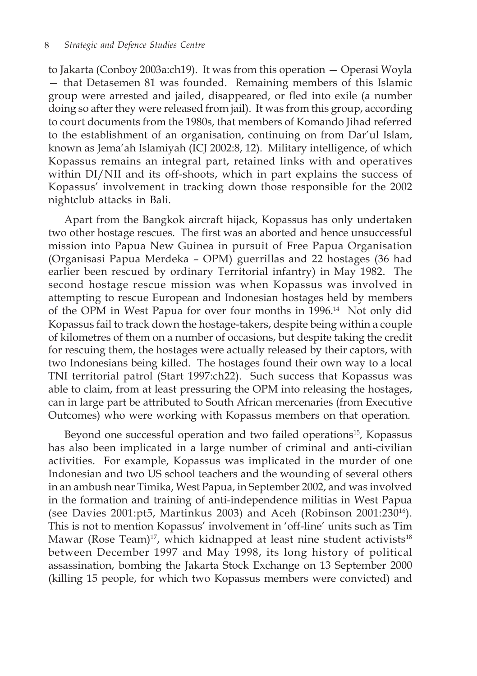to Jakarta (Conboy 2003a:ch19). It was from this operation — Operasi Woyla — that Detasemen 81 was founded. Remaining members of this Islamic group were arrested and jailed, disappeared, or fled into exile (a number doing so after they were released from jail). It was from this group, according to court documents from the 1980s, that members of Komando Jihad referred to the establishment of an organisation, continuing on from Dar'ul Islam, known as Jema'ah Islamiyah (ICJ 2002:8, 12). Military intelligence, of which Kopassus remains an integral part, retained links with and operatives within DI/NII and its off-shoots, which in part explains the success of Kopassus' involvement in tracking down those responsible for the 2002 nightclub attacks in Bali.

Apart from the Bangkok aircraft hijack, Kopassus has only undertaken two other hostage rescues. The first was an aborted and hence unsuccessful mission into Papua New Guinea in pursuit of Free Papua Organisation (Organisasi Papua Merdeka – OPM) guerrillas and 22 hostages (36 had earlier been rescued by ordinary Territorial infantry) in May 1982. The second hostage rescue mission was when Kopassus was involved in attempting to rescue European and Indonesian hostages held by members of the OPM in West Papua for over four months in 1996.14 Not only did Kopassus fail to track down the hostage-takers, despite being within a couple of kilometres of them on a number of occasions, but despite taking the credit for rescuing them, the hostages were actually released by their captors, with two Indonesians being killed. The hostages found their own way to a local TNI territorial patrol (Start 1997:ch22). Such success that Kopassus was able to claim, from at least pressuring the OPM into releasing the hostages, can in large part be attributed to South African mercenaries (from Executive Outcomes) who were working with Kopassus members on that operation.

Beyond one successful operation and two failed operations<sup>15</sup>, Kopassus has also been implicated in a large number of criminal and anti-civilian activities. For example, Kopassus was implicated in the murder of one Indonesian and two US school teachers and the wounding of several others in an ambush near Timika, West Papua, in September 2002, and was involved in the formation and training of anti-independence militias in West Papua (see Davies 2001:pt5, Martinkus 2003) and Aceh (Robinson 2001:23016). This is not to mention Kopassus' involvement in 'off-line' units such as Tim Mawar (Rose Team)<sup>17</sup>, which kidnapped at least nine student activists<sup>18</sup> between December 1997 and May 1998, its long history of political assassination, bombing the Jakarta Stock Exchange on 13 September 2000 (killing 15 people, for which two Kopassus members were convicted) and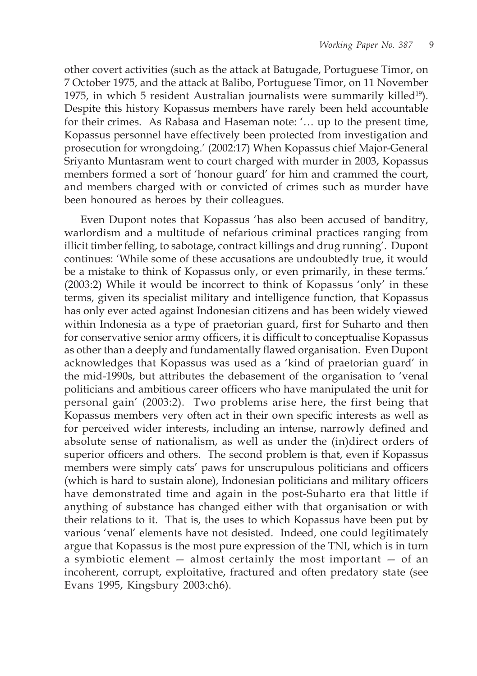other covert activities (such as the attack at Batugade, Portuguese Timor, on 7 October 1975, and the attack at Balibo, Portuguese Timor, on 11 November 1975, in which 5 resident Australian journalists were summarily killed<sup>19</sup>). Despite this history Kopassus members have rarely been held accountable for their crimes. As Rabasa and Haseman note: '… up to the present time, Kopassus personnel have effectively been protected from investigation and prosecution for wrongdoing.' (2002:17) When Kopassus chief Major-General Sriyanto Muntasram went to court charged with murder in 2003, Kopassus members formed a sort of 'honour guard' for him and crammed the court, and members charged with or convicted of crimes such as murder have been honoured as heroes by their colleagues.

Even Dupont notes that Kopassus 'has also been accused of banditry, warlordism and a multitude of nefarious criminal practices ranging from illicit timber felling, to sabotage, contract killings and drug running'. Dupont continues: 'While some of these accusations are undoubtedly true, it would be a mistake to think of Kopassus only, or even primarily, in these terms.' (2003:2) While it would be incorrect to think of Kopassus 'only' in these terms, given its specialist military and intelligence function, that Kopassus has only ever acted against Indonesian citizens and has been widely viewed within Indonesia as a type of praetorian guard, first for Suharto and then for conservative senior army officers, it is difficult to conceptualise Kopassus as other than a deeply and fundamentally flawed organisation. Even Dupont acknowledges that Kopassus was used as a 'kind of praetorian guard' in the mid-1990s, but attributes the debasement of the organisation to 'venal politicians and ambitious career officers who have manipulated the unit for personal gain' (2003:2). Two problems arise here, the first being that Kopassus members very often act in their own specific interests as well as for perceived wider interests, including an intense, narrowly defined and absolute sense of nationalism, as well as under the (in)direct orders of superior officers and others. The second problem is that, even if Kopassus members were simply cats' paws for unscrupulous politicians and officers (which is hard to sustain alone), Indonesian politicians and military officers have demonstrated time and again in the post-Suharto era that little if anything of substance has changed either with that organisation or with their relations to it. That is, the uses to which Kopassus have been put by various 'venal' elements have not desisted. Indeed, one could legitimately argue that Kopassus is the most pure expression of the TNI, which is in turn a symbiotic element — almost certainly the most important — of an incoherent, corrupt, exploitative, fractured and often predatory state (see Evans 1995, Kingsbury 2003:ch6).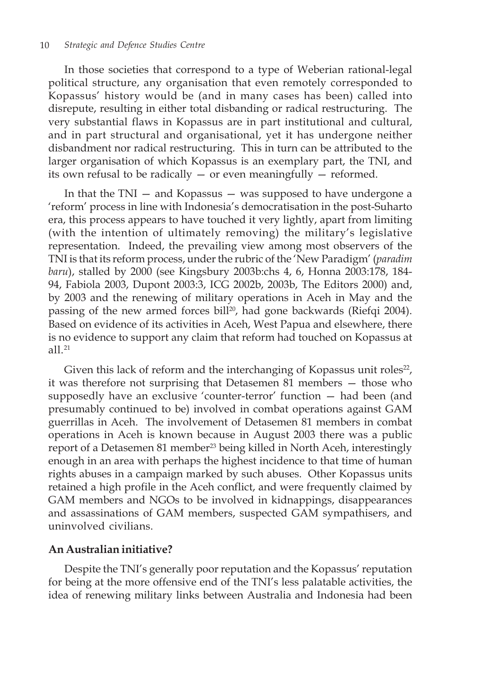In those societies that correspond to a type of Weberian rational-legal political structure, any organisation that even remotely corresponded to Kopassus' history would be (and in many cases has been) called into disrepute, resulting in either total disbanding or radical restructuring. The very substantial flaws in Kopassus are in part institutional and cultural, and in part structural and organisational, yet it has undergone neither disbandment nor radical restructuring. This in turn can be attributed to the larger organisation of which Kopassus is an exemplary part, the TNI, and its own refusal to be radically — or even meaningfully — reformed.

In that the TNI — and Kopassus — was supposed to have undergone a 'reform' process in line with Indonesia's democratisation in the post-Suharto era, this process appears to have touched it very lightly, apart from limiting (with the intention of ultimately removing) the military's legislative representation. Indeed, the prevailing view among most observers of the TNI is that its reform process, under the rubric of the 'New Paradigm' (*paradim baru*), stalled by 2000 (see Kingsbury 2003b:chs 4, 6, Honna 2003:178, 184- 94, Fabiola 2003, Dupont 2003:3, ICG 2002b, 2003b, The Editors 2000) and, by 2003 and the renewing of military operations in Aceh in May and the passing of the new armed forces bill<sup>20</sup>, had gone backwards (Riefqi 2004). Based on evidence of its activities in Aceh, West Papua and elsewhere, there is no evidence to support any claim that reform had touched on Kopassus at all <sup>21</sup>

Given this lack of reform and the interchanging of Kopassus unit roles<sup>22</sup>, it was therefore not surprising that Detasemen 81 members — those who supposedly have an exclusive 'counter-terror' function — had been (and presumably continued to be) involved in combat operations against GAM guerrillas in Aceh. The involvement of Detasemen 81 members in combat operations in Aceh is known because in August 2003 there was a public report of a Detasemen 81 member<sup>23</sup> being killed in North Aceh, interestingly enough in an area with perhaps the highest incidence to that time of human rights abuses in a campaign marked by such abuses. Other Kopassus units retained a high profile in the Aceh conflict, and were frequently claimed by GAM members and NGOs to be involved in kidnappings, disappearances and assassinations of GAM members, suspected GAM sympathisers, and uninvolved civilians.

## **An Australian initiative?**

Despite the TNI's generally poor reputation and the Kopassus' reputation for being at the more offensive end of the TNI's less palatable activities, the idea of renewing military links between Australia and Indonesia had been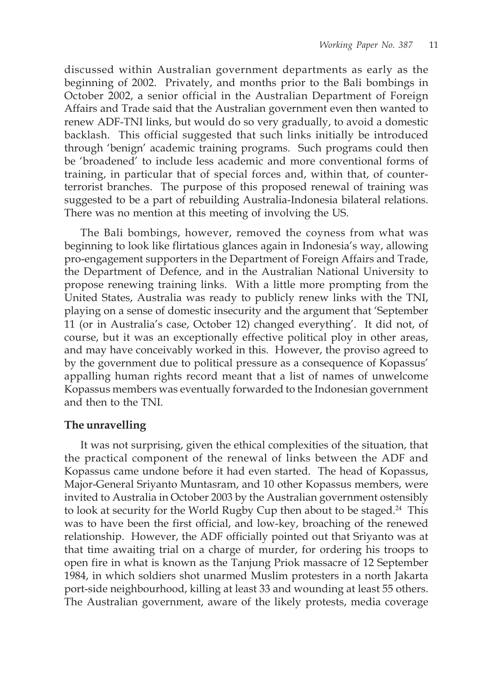discussed within Australian government departments as early as the beginning of 2002. Privately, and months prior to the Bali bombings in October 2002, a senior official in the Australian Department of Foreign Affairs and Trade said that the Australian government even then wanted to renew ADF-TNI links, but would do so very gradually, to avoid a domestic backlash. This official suggested that such links initially be introduced through 'benign' academic training programs. Such programs could then be 'broadened' to include less academic and more conventional forms of training, in particular that of special forces and, within that, of counterterrorist branches. The purpose of this proposed renewal of training was suggested to be a part of rebuilding Australia-Indonesia bilateral relations. There was no mention at this meeting of involving the US.

The Bali bombings, however, removed the coyness from what was beginning to look like flirtatious glances again in Indonesia's way, allowing pro-engagement supporters in the Department of Foreign Affairs and Trade, the Department of Defence, and in the Australian National University to propose renewing training links. With a little more prompting from the United States, Australia was ready to publicly renew links with the TNI, playing on a sense of domestic insecurity and the argument that 'September 11 (or in Australia's case, October 12) changed everything'. It did not, of course, but it was an exceptionally effective political ploy in other areas, and may have conceivably worked in this. However, the proviso agreed to by the government due to political pressure as a consequence of Kopassus' appalling human rights record meant that a list of names of unwelcome Kopassus members was eventually forwarded to the Indonesian government and then to the TNI.

### **The unravelling**

It was not surprising, given the ethical complexities of the situation, that the practical component of the renewal of links between the ADF and Kopassus came undone before it had even started. The head of Kopassus, Major-General Sriyanto Muntasram, and 10 other Kopassus members, were invited to Australia in October 2003 by the Australian government ostensibly to look at security for the World Rugby Cup then about to be staged.<sup>24</sup> This was to have been the first official, and low-key, broaching of the renewed relationship. However, the ADF officially pointed out that Sriyanto was at that time awaiting trial on a charge of murder, for ordering his troops to open fire in what is known as the Tanjung Priok massacre of 12 September 1984, in which soldiers shot unarmed Muslim protesters in a north Jakarta port-side neighbourhood, killing at least 33 and wounding at least 55 others. The Australian government, aware of the likely protests, media coverage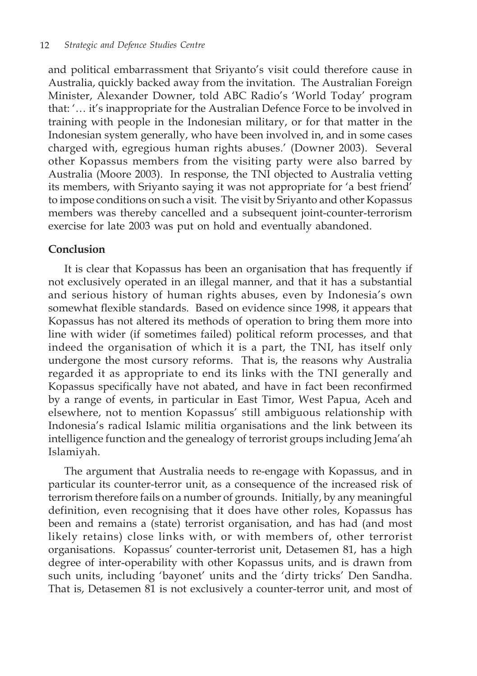and political embarrassment that Sriyanto's visit could therefore cause in Australia, quickly backed away from the invitation. The Australian Foreign Minister, Alexander Downer, told ABC Radio's 'World Today' program that: '… it's inappropriate for the Australian Defence Force to be involved in training with people in the Indonesian military, or for that matter in the Indonesian system generally, who have been involved in, and in some cases charged with, egregious human rights abuses.' (Downer 2003). Several other Kopassus members from the visiting party were also barred by Australia (Moore 2003). In response, the TNI objected to Australia vetting its members, with Sriyanto saying it was not appropriate for 'a best friend' to impose conditions on such a visit. The visit by Sriyanto and other Kopassus members was thereby cancelled and a subsequent joint-counter-terrorism exercise for late 2003 was put on hold and eventually abandoned.

## **Conclusion**

It is clear that Kopassus has been an organisation that has frequently if not exclusively operated in an illegal manner, and that it has a substantial and serious history of human rights abuses, even by Indonesia's own somewhat flexible standards. Based on evidence since 1998, it appears that Kopassus has not altered its methods of operation to bring them more into line with wider (if sometimes failed) political reform processes, and that indeed the organisation of which it is a part, the TNI, has itself only undergone the most cursory reforms. That is, the reasons why Australia regarded it as appropriate to end its links with the TNI generally and Kopassus specifically have not abated, and have in fact been reconfirmed by a range of events, in particular in East Timor, West Papua, Aceh and elsewhere, not to mention Kopassus' still ambiguous relationship with Indonesia's radical Islamic militia organisations and the link between its intelligence function and the genealogy of terrorist groups including Jema'ah Islamiyah.

The argument that Australia needs to re-engage with Kopassus, and in particular its counter-terror unit, as a consequence of the increased risk of terrorism therefore fails on a number of grounds. Initially, by any meaningful definition, even recognising that it does have other roles, Kopassus has been and remains a (state) terrorist organisation, and has had (and most likely retains) close links with, or with members of, other terrorist organisations. Kopassus' counter-terrorist unit, Detasemen 81, has a high degree of inter-operability with other Kopassus units, and is drawn from such units, including 'bayonet' units and the 'dirty tricks' Den Sandha. That is, Detasemen 81 is not exclusively a counter-terror unit, and most of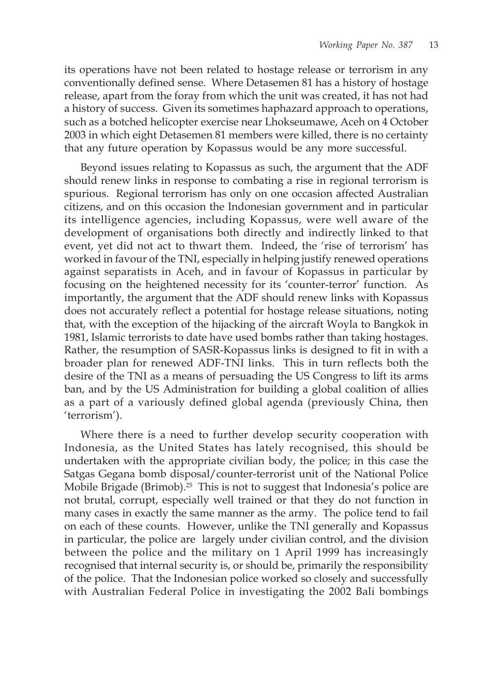its operations have not been related to hostage release or terrorism in any conventionally defined sense. Where Detasemen 81 has a history of hostage release, apart from the foray from which the unit was created, it has not had a history of success. Given its sometimes haphazard approach to operations, such as a botched helicopter exercise near Lhokseumawe, Aceh on 4 October 2003 in which eight Detasemen 81 members were killed, there is no certainty that any future operation by Kopassus would be any more successful.

Beyond issues relating to Kopassus as such, the argument that the ADF should renew links in response to combating a rise in regional terrorism is spurious. Regional terrorism has only on one occasion affected Australian citizens, and on this occasion the Indonesian government and in particular its intelligence agencies, including Kopassus, were well aware of the development of organisations both directly and indirectly linked to that event, yet did not act to thwart them. Indeed, the 'rise of terrorism' has worked in favour of the TNI, especially in helping justify renewed operations against separatists in Aceh, and in favour of Kopassus in particular by focusing on the heightened necessity for its 'counter-terror' function. As importantly, the argument that the ADF should renew links with Kopassus does not accurately reflect a potential for hostage release situations, noting that, with the exception of the hijacking of the aircraft Woyla to Bangkok in 1981, Islamic terrorists to date have used bombs rather than taking hostages. Rather, the resumption of SASR-Kopassus links is designed to fit in with a broader plan for renewed ADF-TNI links. This in turn reflects both the desire of the TNI as a means of persuading the US Congress to lift its arms ban, and by the US Administration for building a global coalition of allies as a part of a variously defined global agenda (previously China, then 'terrorism').

Where there is a need to further develop security cooperation with Indonesia, as the United States has lately recognised, this should be undertaken with the appropriate civilian body, the police; in this case the Satgas Gegana bomb disposal/counter-terrorist unit of the National Police Mobile Brigade (Brimob).<sup>25</sup> This is not to suggest that Indonesia's police are not brutal, corrupt, especially well trained or that they do not function in many cases in exactly the same manner as the army. The police tend to fail on each of these counts. However, unlike the TNI generally and Kopassus in particular, the police are largely under civilian control, and the division between the police and the military on 1 April 1999 has increasingly recognised that internal security is, or should be, primarily the responsibility of the police. That the Indonesian police worked so closely and successfully with Australian Federal Police in investigating the 2002 Bali bombings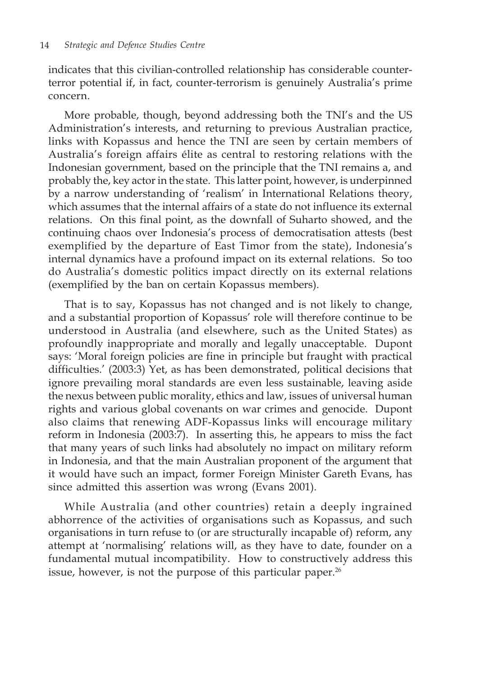indicates that this civilian-controlled relationship has considerable counterterror potential if, in fact, counter-terrorism is genuinely Australia's prime concern.

More probable, though, beyond addressing both the TNI's and the US Administration's interests, and returning to previous Australian practice, links with Kopassus and hence the TNI are seen by certain members of Australia's foreign affairs élite as central to restoring relations with the Indonesian government, based on the principle that the TNI remains a, and probably the, key actor in the state. This latter point, however, is underpinned by a narrow understanding of 'realism' in International Relations theory, which assumes that the internal affairs of a state do not influence its external relations. On this final point, as the downfall of Suharto showed, and the continuing chaos over Indonesia's process of democratisation attests (best exemplified by the departure of East Timor from the state), Indonesia's internal dynamics have a profound impact on its external relations. So too do Australia's domestic politics impact directly on its external relations (exemplified by the ban on certain Kopassus members).

That is to say, Kopassus has not changed and is not likely to change, and a substantial proportion of Kopassus' role will therefore continue to be understood in Australia (and elsewhere, such as the United States) as profoundly inappropriate and morally and legally unacceptable. Dupont says: 'Moral foreign policies are fine in principle but fraught with practical difficulties.' (2003:3) Yet, as has been demonstrated, political decisions that ignore prevailing moral standards are even less sustainable, leaving aside the nexus between public morality, ethics and law, issues of universal human rights and various global covenants on war crimes and genocide. Dupont also claims that renewing ADF-Kopassus links will encourage military reform in Indonesia (2003:7). In asserting this, he appears to miss the fact that many years of such links had absolutely no impact on military reform in Indonesia, and that the main Australian proponent of the argument that it would have such an impact, former Foreign Minister Gareth Evans, has since admitted this assertion was wrong (Evans 2001).

While Australia (and other countries) retain a deeply ingrained abhorrence of the activities of organisations such as Kopassus, and such organisations in turn refuse to (or are structurally incapable of) reform, any attempt at 'normalising' relations will, as they have to date, founder on a fundamental mutual incompatibility. How to constructively address this issue, however, is not the purpose of this particular paper. $26$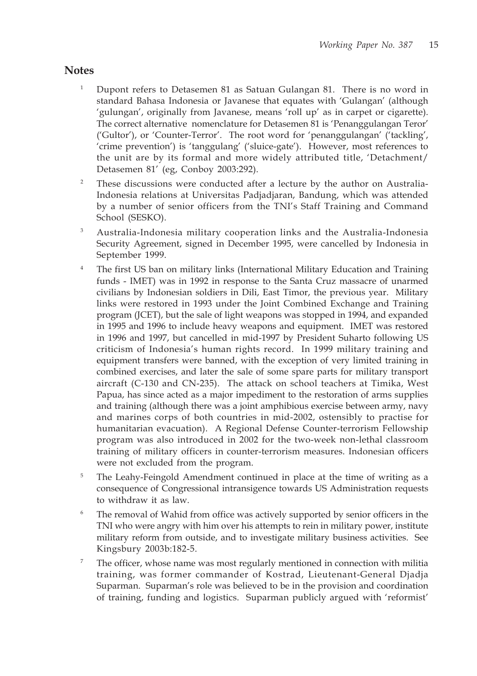# **Notes**

- <sup>1</sup> Dupont refers to Detasemen 81 as Satuan Gulangan 81. There is no word in standard Bahasa Indonesia or Javanese that equates with 'Gulangan' (although 'gulungan', originally from Javanese, means 'roll up' as in carpet or cigarette). The correct alternative nomenclature for Detasemen 81 is 'Penanggulangan Teror' ('Gultor'), or 'Counter-Terror'. The root word for 'penanggulangan' ('tackling', 'crime prevention') is 'tanggulang' ('sluice-gate'). However, most references to the unit are by its formal and more widely attributed title, 'Detachment/ Detasemen 81' (eg, Conboy 2003:292).
- <sup>2</sup> These discussions were conducted after a lecture by the author on Australia-Indonesia relations at Universitas Padjadjaran, Bandung, which was attended by a number of senior officers from the TNI's Staff Training and Command School (SESKO).
- <sup>3</sup> Australia-Indonesia military cooperation links and the Australia-Indonesia Security Agreement, signed in December 1995, were cancelled by Indonesia in September 1999.
- <sup>4</sup> The first US ban on military links (International Military Education and Training funds - IMET) was in 1992 in response to the Santa Cruz massacre of unarmed civilians by Indonesian soldiers in Dili, East Timor, the previous year. Military links were restored in 1993 under the Joint Combined Exchange and Training program (JCET), but the sale of light weapons was stopped in 1994, and expanded in 1995 and 1996 to include heavy weapons and equipment. IMET was restored in 1996 and 1997, but cancelled in mid-1997 by President Suharto following US criticism of Indonesia's human rights record. In 1999 military training and equipment transfers were banned, with the exception of very limited training in combined exercises, and later the sale of some spare parts for military transport aircraft (C-130 and CN-235). The attack on school teachers at Timika, West Papua, has since acted as a major impediment to the restoration of arms supplies and training (although there was a joint amphibious exercise between army, navy and marines corps of both countries in mid-2002, ostensibly to practise for humanitarian evacuation). A Regional Defense Counter-terrorism Fellowship program was also introduced in 2002 for the two-week non-lethal classroom training of military officers in counter-terrorism measures. Indonesian officers were not excluded from the program.
- <sup>5</sup> The Leahy-Feingold Amendment continued in place at the time of writing as a consequence of Congressional intransigence towards US Administration requests to withdraw it as law.
- The removal of Wahid from office was actively supported by senior officers in the TNI who were angry with him over his attempts to rein in military power, institute military reform from outside, and to investigate military business activities. See Kingsbury 2003b:182-5.
- <sup>7</sup> The officer, whose name was most regularly mentioned in connection with militia training, was former commander of Kostrad, Lieutenant-General Djadja Suparman. Suparman's role was believed to be in the provision and coordination of training, funding and logistics. Suparman publicly argued with 'reformist'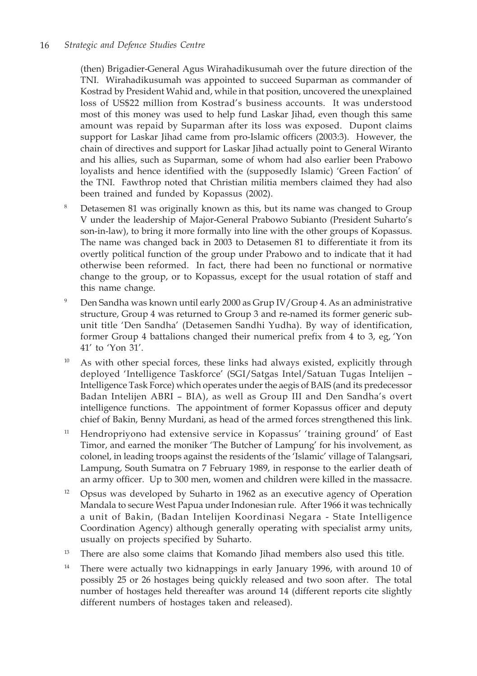(then) Brigadier-General Agus Wirahadikusumah over the future direction of the TNI. Wirahadikusumah was appointed to succeed Suparman as commander of Kostrad by President Wahid and, while in that position, uncovered the unexplained loss of US\$22 million from Kostrad's business accounts. It was understood most of this money was used to help fund Laskar Jihad, even though this same amount was repaid by Suparman after its loss was exposed. Dupont claims support for Laskar Jihad came from pro-Islamic officers (2003:3). However, the chain of directives and support for Laskar Jihad actually point to General Wiranto and his allies, such as Suparman, some of whom had also earlier been Prabowo loyalists and hence identified with the (supposedly Islamic) 'Green Faction' of the TNI. Fawthrop noted that Christian militia members claimed they had also been trained and funded by Kopassus (2002).

- Detasemen 81 was originally known as this, but its name was changed to Group V under the leadership of Major-General Prabowo Subianto (President Suharto's son-in-law), to bring it more formally into line with the other groups of Kopassus. The name was changed back in 2003 to Detasemen 81 to differentiate it from its overtly political function of the group under Prabowo and to indicate that it had otherwise been reformed. In fact, there had been no functional or normative change to the group, or to Kopassus, except for the usual rotation of staff and this name change.
- <sup>9</sup> Den Sandha was known until early 2000 as Grup IV/Group 4. As an administrative structure, Group 4 was returned to Group 3 and re-named its former generic subunit title 'Den Sandha' (Detasemen Sandhi Yudha). By way of identification, former Group 4 battalions changed their numerical prefix from 4 to 3, eg, 'Yon 41' to 'Yon 31'.
- $10$  As with other special forces, these links had always existed, explicitly through deployed 'Intelligence Taskforce' (SGI/Satgas Intel/Satuan Tugas Intelijen – Intelligence Task Force) which operates under the aegis of BAIS (and its predecessor Badan Intelijen ABRI – BIA), as well as Group III and Den Sandha's overt intelligence functions. The appointment of former Kopassus officer and deputy chief of Bakin, Benny Murdani, as head of the armed forces strengthened this link.
- <sup>11</sup> Hendropriyono had extensive service in Kopassus' 'training ground' of East Timor, and earned the moniker 'The Butcher of Lampung' for his involvement, as colonel, in leading troops against the residents of the 'Islamic' village of Talangsari, Lampung, South Sumatra on 7 February 1989, in response to the earlier death of an army officer. Up to 300 men, women and children were killed in the massacre.
- <sup>12</sup> Opsus was developed by Suharto in 1962 as an executive agency of Operation Mandala to secure West Papua under Indonesian rule. After 1966 it was technically a unit of Bakin, (Badan Intelijen Koordinasi Negara - State Intelligence Coordination Agency) although generally operating with specialist army units, usually on projects specified by Suharto.
- <sup>13</sup> There are also some claims that Komando Jihad members also used this title.
- <sup>14</sup> There were actually two kidnappings in early January 1996, with around 10 of possibly 25 or 26 hostages being quickly released and two soon after. The total number of hostages held thereafter was around 14 (different reports cite slightly different numbers of hostages taken and released).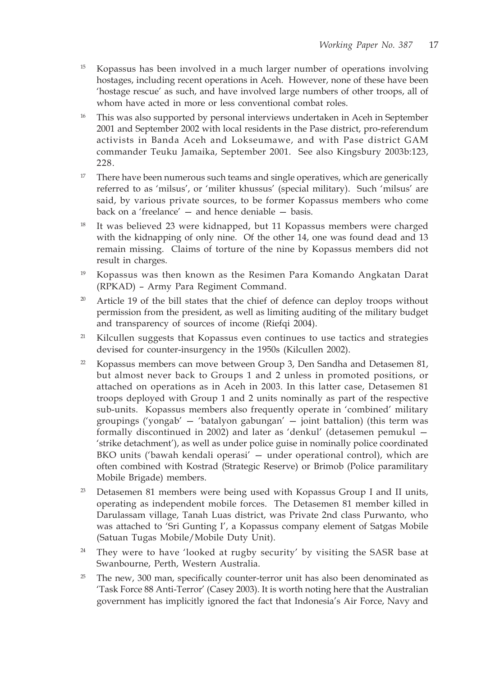- <sup>15</sup> Kopassus has been involved in a much larger number of operations involving hostages, including recent operations in Aceh. However, none of these have been 'hostage rescue' as such, and have involved large numbers of other troops, all of whom have acted in more or less conventional combat roles.
- <sup>16</sup> This was also supported by personal interviews undertaken in Aceh in September 2001 and September 2002 with local residents in the Pase district, pro-referendum activists in Banda Aceh and Lokseumawe, and with Pase district GAM commander Teuku Jamaika, September 2001. See also Kingsbury 2003b:123, 228.
- <sup>17</sup> There have been numerous such teams and single operatives, which are generically referred to as 'milsus', or 'militer khussus' (special military). Such 'milsus' are said, by various private sources, to be former Kopassus members who come back on a 'freelance' — and hence deniable — basis.
- It was believed 23 were kidnapped, but 11 Kopassus members were charged with the kidnapping of only nine. Of the other 14, one was found dead and 13 remain missing. Claims of torture of the nine by Kopassus members did not result in charges.
- <sup>19</sup> Kopassus was then known as the Resimen Para Komando Angkatan Darat (RPKAD) – Army Para Regiment Command.
- $20$  Article 19 of the bill states that the chief of defence can deploy troops without permission from the president, as well as limiting auditing of the military budget and transparency of sources of income (Riefqi 2004).
- <sup>21</sup> Kilcullen suggests that Kopassus even continues to use tactics and strategies devised for counter-insurgency in the 1950s (Kilcullen 2002).
- <sup>22</sup> Kopassus members can move between Group 3, Den Sandha and Detasemen 81, but almost never back to Groups 1 and 2 unless in promoted positions, or attached on operations as in Aceh in 2003. In this latter case, Detasemen 81 troops deployed with Group 1 and 2 units nominally as part of the respective sub-units. Kopassus members also frequently operate in 'combined' military groupings ('yongab' — 'batalyon gabungan' — joint battalion) (this term was formally discontinued in 2002) and later as 'denkul' (detasemen pemukul — 'strike detachment'), as well as under police guise in nominally police coordinated BKO units ('bawah kendali operasi' — under operational control), which are often combined with Kostrad (Strategic Reserve) or Brimob (Police paramilitary Mobile Brigade) members.
- $23$  Detasemen 81 members were being used with Kopassus Group I and II units, operating as independent mobile forces. The Detasemen 81 member killed in Darulassam village, Tanah Luas district, was Private 2nd class Purwanto, who was attached to 'Sri Gunting I', a Kopassus company element of Satgas Mobile (Satuan Tugas Mobile/Mobile Duty Unit).
- $24$  They were to have 'looked at rugby security' by visiting the SASR base at Swanbourne, Perth, Western Australia.
- <sup>25</sup> The new, 300 man, specifically counter-terror unit has also been denominated as 'Task Force 88 Anti-Terror' (Casey 2003). It is worth noting here that the Australian government has implicitly ignored the fact that Indonesia's Air Force, Navy and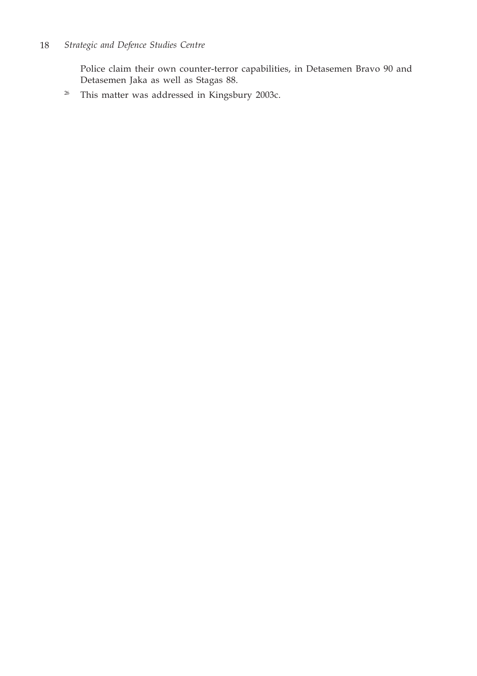Police claim their own counter-terror capabilities, in Detasemen Bravo 90 and Detasemen Jaka as well as Stagas 88.

<sup>26</sup> This matter was addressed in Kingsbury 2003c.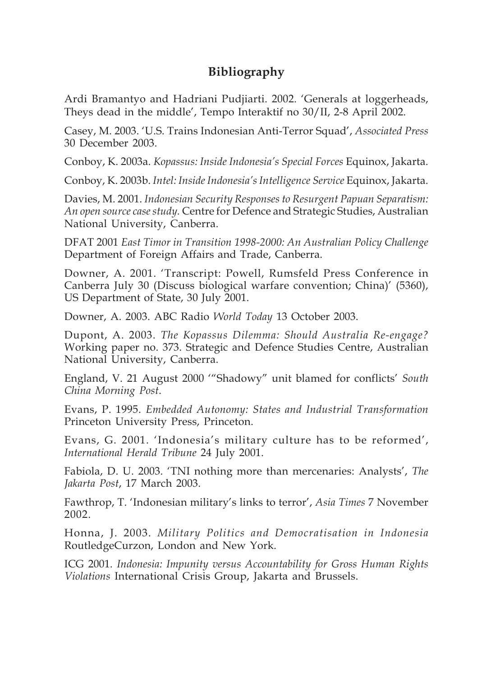# **Bibliography**

Ardi Bramantyo and Hadriani Pudjiarti. 2002. 'Generals at loggerheads, Theys dead in the middle', Tempo Interaktif no 30/II, 2-8 April 2002.

Casey, M. 2003. 'U.S. Trains Indonesian Anti-Terror Squad', *Associated Press* 30 December 2003.

Conboy, K. 2003a. *Kopassus: Inside Indonesia's Special Forces* Equinox, Jakarta.

Conboy, K. 2003b. *Intel: Inside Indonesia's Intelligence Service* Equinox, Jakarta.

Davies, M. 2001. *Indonesian Security Responses to Resurgent Papuan Separatism: An open source case study.* Centre for Defence and Strategic Studies, Australian National University, Canberra.

DFAT 2001 *East Timor in Transition 1998-2000: An Australian Policy Challenge* Department of Foreign Affairs and Trade, Canberra.

Downer, A. 2001. 'Transcript: Powell, Rumsfeld Press Conference in Canberra July 30 (Discuss biological warfare convention; China)' (5360), US Department of State, 30 July 2001.

Downer, A. 2003. ABC Radio *World Today* 13 October 2003.

Dupont, A. 2003. *The Kopassus Dilemma: Should Australia Re-engage?* Working paper no. 373. Strategic and Defence Studies Centre, Australian National University, Canberra.

England, V. 21 August 2000 '"Shadowy" unit blamed for conflicts' *South China Morning Post*.

Evans, P. 1995. *Embedded Autonomy: States and Industrial Transformation* Princeton University Press, Princeton.

Evans, G. 2001. 'Indonesia's military culture has to be reformed', *International Herald Tribune* 24 July 2001.

Fabiola, D. U. 2003. 'TNI nothing more than mercenaries: Analysts', *The Jakarta Post*, 17 March 2003.

Fawthrop, T. 'Indonesian military's links to terror', *Asia Times* 7 November 2002.

Honna, J. 2003. *Military Politics and Democratisation in Indonesia* RoutledgeCurzon, London and New York.

ICG 2001. *Indonesia: Impunity versus Accountability for Gross Human Rights Violations* International Crisis Group, Jakarta and Brussels.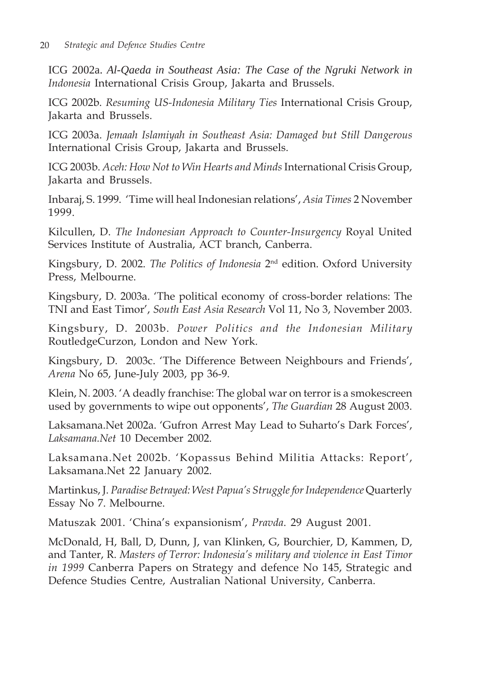ICG 2002a. *Al-Qaeda in Southeast Asia: The Case of the Ngruki Network in Indonesia* International Crisis Group, Jakarta and Brussels.

ICG 2002b. *Resuming US-Indonesia Military Ties* International Crisis Group, Jakarta and Brussels.

ICG 2003a. *Jemaah Islamiyah in Southeast Asia: Damaged but Still Dangerous* International Crisis Group, Jakarta and Brussels.

ICG 2003b. *Aceh: How Not to Win Hearts and Minds* International Crisis Group, Jakarta and Brussels.

Inbaraj, S. 1999. 'Time will heal Indonesian relations', *Asia Times* 2 November 1999.

Kilcullen, D. *The Indonesian Approach to Counter-Insurgency* Royal United Services Institute of Australia, ACT branch, Canberra.

Kingsbury, D. 2002. *The Politics of Indonesia* 2nd edition. Oxford University Press, Melbourne.

Kingsbury, D. 2003a. 'The political economy of cross-border relations: The TNI and East Timor', *South East Asia Research* Vol 11, No 3, November 2003.

Kingsbury, D. 2003b. *Power Politics and the Indonesian Military* RoutledgeCurzon, London and New York.

Kingsbury, D. 2003c. 'The Difference Between Neighbours and Friends', *Arena* No 65, June-July 2003, pp 36-9.

Klein, N. 2003. 'A deadly franchise: The global war on terror is a smokescreen used by governments to wipe out opponents', *The Guardian* 28 August 2003.

Laksamana.Net 2002a. 'Gufron Arrest May Lead to Suharto's Dark Forces', *Laksamana.Net* 10 December 2002.

Laksamana.Net 2002b. 'Kopassus Behind Militia Attacks: Report', Laksamana.Net 22 January 2002.

Martinkus, J. *Paradise Betrayed: West Papua's Struggle for Independence* Quarterly Essay No 7. Melbourne.

Matuszak 2001. 'China's expansionism', *Pravda*. 29 August 2001.

McDonald, H, Ball, D, Dunn, J, van Klinken, G, Bourchier, D, Kammen, D, and Tanter, R. *Masters of Terror: Indonesia's military and violence in East Timor in 1999* Canberra Papers on Strategy and defence No 145, Strategic and Defence Studies Centre, Australian National University, Canberra.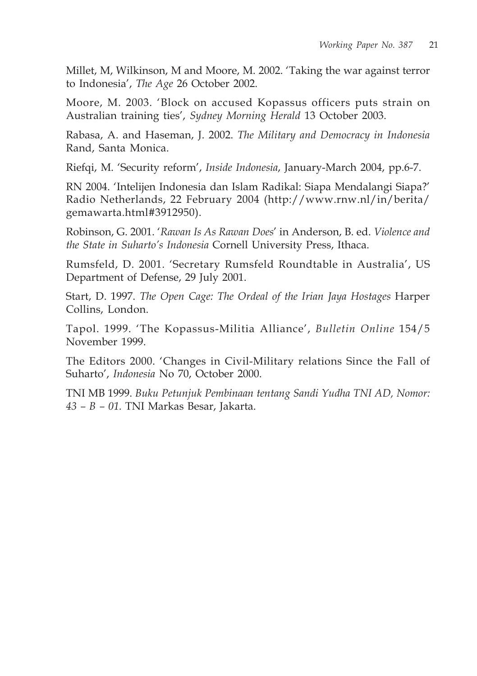Millet, M, Wilkinson, M and Moore, M. 2002. 'Taking the war against terror to Indonesia', *The Age* 26 October 2002.

Moore, M. 2003. 'Block on accused Kopassus officers puts strain on Australian training ties', *Sydney Morning Herald* 13 October 2003.

Rabasa, A. and Haseman, J. 2002. *The Military and Democracy in Indonesia* Rand, Santa Monica.

Riefqi, M. 'Security reform', *Inside Indonesia*, January-March 2004, pp.6-7.

RN 2004. 'Intelijen Indonesia dan Islam Radikal: Siapa Mendalangi Siapa?' Radio Netherlands, 22 February 2004 (http://www.rnw.nl/in/berita/ gemawarta.html#3912950).

Robinson, G. 2001. '*Rawan Is As Rawan Does*' in Anderson, B. ed. *Violence and the State in Suharto's Indonesia* Cornell University Press, Ithaca.

Rumsfeld, D. 2001. 'Secretary Rumsfeld Roundtable in Australia', US Department of Defense, 29 July 2001.

Start, D. 1997. *The Open Cage: The Ordeal of the Irian Jaya Hostages* Harper Collins, London.

Tapol. 1999. 'The Kopassus-Militia Alliance', *Bulletin Online* 154/5 November 1999.

The Editors 2000. 'Changes in Civil-Military relations Since the Fall of Suharto', *Indonesia* No 70, October 2000.

TNI MB 1999. *Buku Petunjuk Pembinaan tentang Sandi Yudha TNI AD, Nomor: 43 – B – 01.* TNI Markas Besar, Jakarta.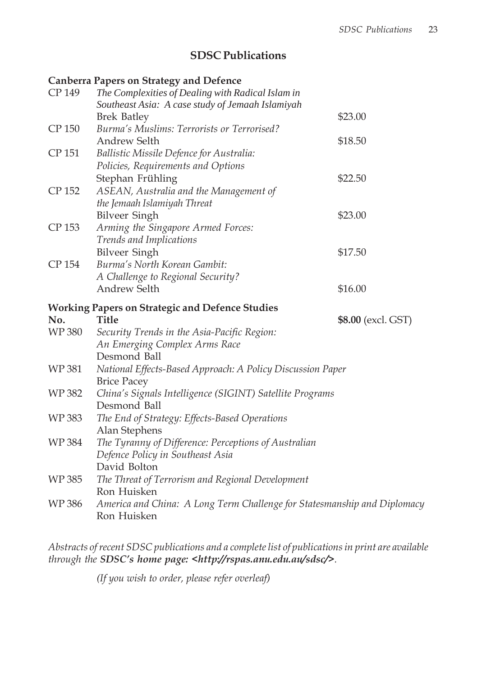# **SDSC Publications**

## **Canberra Papers on Strategy and Defence**

| CP 149       | The Complexities of Dealing with Radical Islam in                                       |                    |  |
|--------------|-----------------------------------------------------------------------------------------|--------------------|--|
|              | Southeast Asia: A case study of Jemaah Islamiyah<br><b>Brek Batley</b>                  | \$23.00            |  |
| CP 150       | Burma's Muslims: Terrorists or Terrorised?                                              |                    |  |
|              | Andrew Selth                                                                            | \$18.50            |  |
| CP 151       | Ballistic Missile Defence for Australia:                                                |                    |  |
|              | Policies, Requirements and Options                                                      |                    |  |
|              | Stephan Frühling                                                                        | \$22.50            |  |
| CP 152       | ASEAN, Australia and the Management of                                                  |                    |  |
|              | the Jemaah Islamiyah Threat                                                             |                    |  |
|              | <b>Bilveer Singh</b>                                                                    | \$23.00            |  |
| CP 153       | Arming the Singapore Armed Forces:                                                      |                    |  |
|              | Trends and Implications                                                                 |                    |  |
|              | <b>Bilveer Singh</b>                                                                    | \$17.50            |  |
| CP 154       | Burma's North Korean Gambit:                                                            |                    |  |
|              | A Challenge to Regional Security?                                                       |                    |  |
|              | <b>Andrew Selth</b>                                                                     | \$16.00            |  |
|              | <b>Working Papers on Strategic and Defence Studies</b>                                  |                    |  |
| No.          | Title                                                                                   | \$8.00 (excl. GST) |  |
| WP 380       | Security Trends in the Asia-Pacific Region:                                             |                    |  |
|              | An Emerging Complex Arms Race                                                           |                    |  |
|              | Desmond Ball                                                                            |                    |  |
| <b>WP381</b> | National Effects-Based Approach: A Policy Discussion Paper<br><b>Brice Pacey</b>        |                    |  |
| WP 382       | China's Signals Intelligence (SIGINT) Satellite Programs                                |                    |  |
|              | Desmond Ball                                                                            |                    |  |
| WP 383       | The End of Strategy: Effects-Based Operations                                           |                    |  |
|              | Alan Stephens                                                                           |                    |  |
| WP 384       | The Tyranny of Difference: Perceptions of Australian                                    |                    |  |
|              | Defence Policy in Southeast Asia                                                        |                    |  |
|              | David Bolton                                                                            |                    |  |
| WP 385       | The Threat of Terrorism and Regional Development                                        |                    |  |
|              | Ron Huisken                                                                             |                    |  |
| WP 386       | America and China: A Long Term Challenge for Statesmanship and Diplomacy<br>Ron Huisken |                    |  |

*Abstracts of recent SDSC publications and a complete list of publications in print are available through the SDSC's home page: <http://rspas.anu.edu.au/sdsc/>.*

*(If you wish to order, please refer overleaf)*